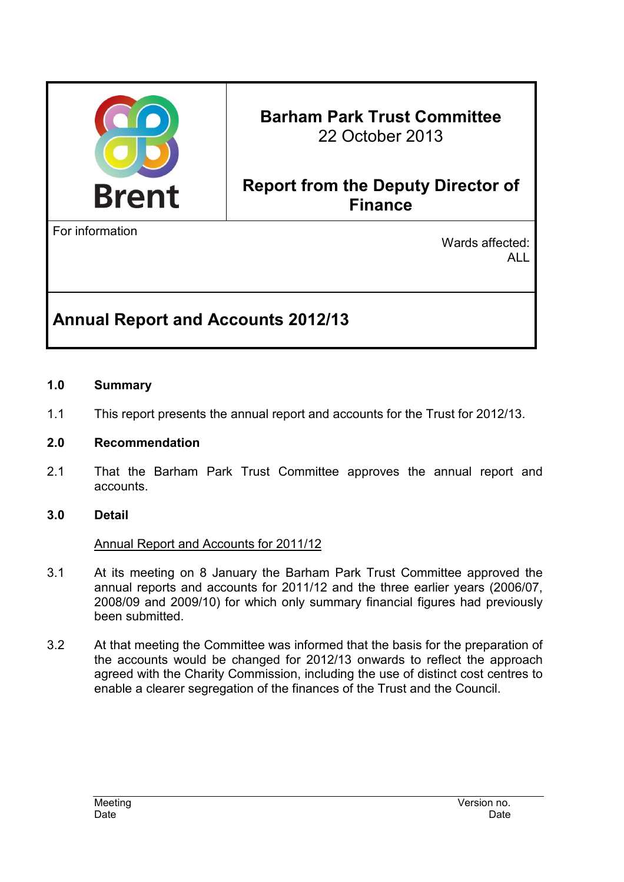

# **Barham Park Trust Committee**  22 October 2013

# **Report from the Deputy Director of Finance**

For information

Wards affected: ALL

# **Annual Report and Accounts 2012/13**

#### **1.0 Summary**

1.1 This report presents the annual report and accounts for the Trust for 2012/13.

#### **2.0 Recommendation**

2.1 That the Barham Park Trust Committee approves the annual report and accounts.

#### **3.0 Detail**

#### Annual Report and Accounts for 2011/12

- 3.1 At its meeting on 8 January the Barham Park Trust Committee approved the annual reports and accounts for 2011/12 and the three earlier years (2006/07, 2008/09 and 2009/10) for which only summary financial figures had previously been submitted.
- 3.2 At that meeting the Committee was informed that the basis for the preparation of the accounts would be changed for 2012/13 onwards to reflect the approach agreed with the Charity Commission, including the use of distinct cost centres to enable a clearer segregation of the finances of the Trust and the Council.